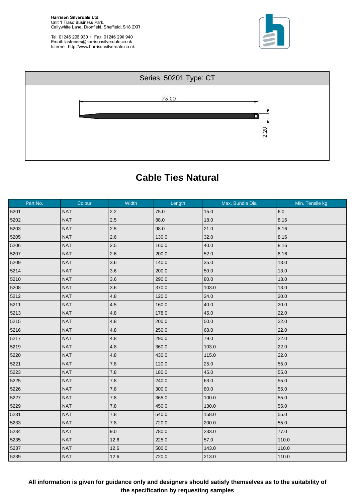**Harrison Silverdale Ltd** Unit 1 Traso Business Park,<br>Callywhite Lane, Dronfield, Sheffield, S18 2XR

Tel: 01246 296 930 • Fax: 01246 296 940<br>Email: fasteners@harrisonsilverdale.co.uk Internet: http://www.harrisonsilverdale.co.uk





## **Cable Ties Natural**

| Part No. | Colour     | Width   | Length | Max. Bundle Dia | Min. Tensile kg |
|----------|------------|---------|--------|-----------------|-----------------|
| 5201     | <b>NAT</b> | 2.2     | 75.0   | 15.0            | 6.0             |
| 5202     | <b>NAT</b> | 2.5     | 88.0   | 18.0            | 8.16            |
| 5203     | <b>NAT</b> | 2.5     | 98.0   | 21.0            | 8.16            |
| 5205     | <b>NAT</b> | 2.6     | 130.0  | 32.0            | 8.16            |
| 5206     | <b>NAT</b> | 2.5     | 160.0  | 40.0            | 8.16            |
| 5207     | <b>NAT</b> | 2.6     | 200.0  | 52.0            | 8.16            |
| 5209     | <b>NAT</b> | 3.6     | 140.0  | 35.0            | 13.0            |
| 5214     | <b>NAT</b> | 3.6     | 200.0  | 50.0            | 13.0            |
| 5210     | <b>NAT</b> | 3.6     | 290.0  | 80.0            | 13.0            |
| 5208     | <b>NAT</b> | 3.6     | 370.0  | 103.0           | 13.0            |
| 5212     | <b>NAT</b> | 4.8     | 120.0  | 24.0            | 20.0            |
| 5211     | <b>NAT</b> | 4.5     | 160.0  | 40.0            | 20.0            |
| 5213     | <b>NAT</b> | 4.8     | 178.0  | 45.0            | 22.0            |
| 5215     | <b>NAT</b> | 4.8     | 200.0  | 50.0            | 22.0            |
| 5216     | <b>NAT</b> | 4.8     | 250.0  | 68.0            | 22.0            |
| 5217     | <b>NAT</b> | 4.8     | 290.0  | 79.0            | 22.0            |
| 5219     | <b>NAT</b> | 4.8     | 360.0  | 103.0           | 22.0            |
| 5220     | <b>NAT</b> | 4.8     | 430.0  | 115.0           | 22.0            |
| 5221     | <b>NAT</b> | 7.8     | 120.0  | 25.0            | 55.0            |
| 5223     | <b>NAT</b> | $7.8$   | 180.0  | 45.0            | 55.0            |
| 5225     | <b>NAT</b> | 7.8     | 240.0  | 63.0            | 55.0            |
| 5226     | <b>NAT</b> | 7.8     | 300.0  | 80.0            | 55.0            |
| 5227     | <b>NAT</b> | $7.8\,$ | 365.0  | 100.0           | 55.0            |
| 5229     | <b>NAT</b> | 7.8     | 450.0  | 130.0           | 55.0            |
| 5231     | <b>NAT</b> | 7.8     | 540.0  | 158.0           | 55.0            |
| 5233     | <b>NAT</b> | $7.8$   | 720.0  | 200.0           | 55.0            |
| 5234     | <b>NAT</b> | 9.0     | 780.0  | 233.0           | 77.0            |
| 5235     | <b>NAT</b> | 12.6    | 225.0  | 57.0            | 110.0           |
| 5237     | <b>NAT</b> | 12.6    | 500.0  | 143.0           | 110.0           |
| 5239     | <b>NAT</b> | 12.6    | 720.0  | 213.0           | 110.0           |